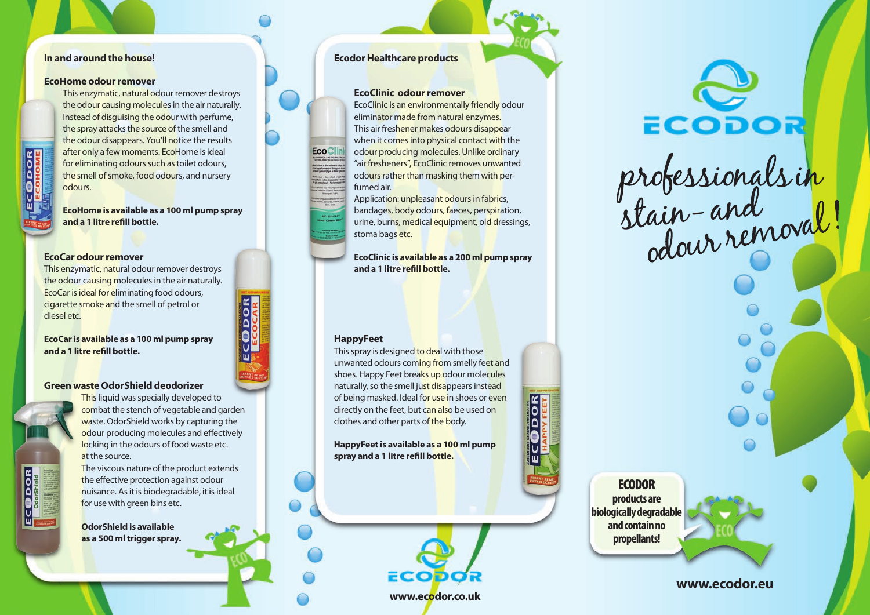## **In and around the house!**

### **EcoHome odour remover**

This enzymatic, natural odour remover destroys the odour causing molecules in the air naturally. Instead of disguising the odour with perfume, the spray attacks the source of the smell and the odour disappears. You'll notice the results after only a few moments. EcoHome is ideal for eliminating odours such as toilet odours, the smell of smoke, food odours, and nursery odours.

**EcoHome is available as a 100 ml pump spray and a 1 litre refill bottle.**

#### **EcoCar odour remover**

This enzymatic, natural odour remover destroys the odour causing molecules in the air naturally. EcoCar is ideal for eliminating food odours, cigarette smoke and the smell of petrol or diesel etc.

**EcoCar is available as a 100 ml pump spray and a 1 litre refill bottle.**

### **Green waste OdorShield deodorizer**

**ECODOR** 

This liquid was specially developed to combat the stench of vegetable and garden waste. OdorShield works by capturing the odour producing molecules and effectively locking in the odours of food waste etc. at the source.

The viscous nature of the product extends the effective protection against odour nuisance. As it is biodegradable, it is ideal for use with green bins etc.

**OdorShield is available as a 500 ml trigger spray.**

# **Ecodor Healthcare products**

#### **EcoClinic odour remover**

EcoClinic is an environmentally friendly odour eliminator made from natural enzymes. This air freshener makes odours disappear when it comes into physical contact with the odour producing molecules. Unlike ordinary "air fresheners", EcoClinic removes unwanted odours rather than masking them with perfumed air.

Application: unpleasant odours in fabrics, bandages, body odours, faeces, perspiration, urine, burns, medical equipment, old dressings, stoma bags etc.

**EcoClinic is available as a 200 ml pump spray and a 1 litre refill bottle.**

### **HappyFeet**

**EcoClin** 

This spray is designed to deal with those unwanted odours coming from smelly feet and shoes. Happy Feet breaks up odour molecules naturally, so the smell just disappears instead of being masked. Ideal for use in shoes or even directly on the feet, but can also be used on clothes and other parts of the body.

**HappyFeet is available as a 100 ml pump spray and a 1 litre refill bottle.**

**www.ecodor.co.uk**

ECOD



**ECODOR products are biologically degradable and contain no propellants!**

**www.ecodor.eu**







ECODOR ECODOR<br>professionals in<br>stain-and wal!